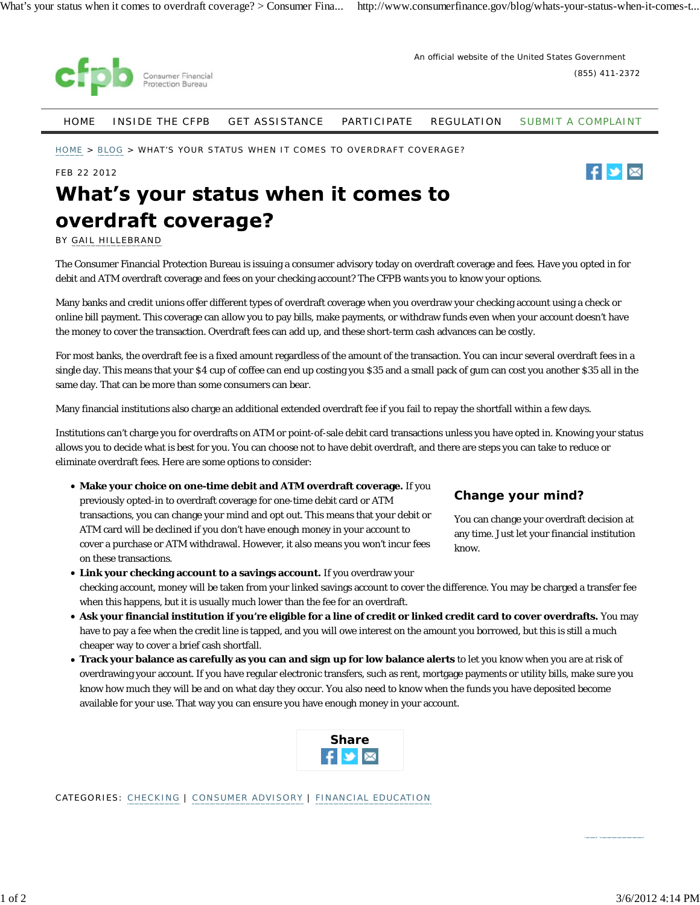

An official website of the United States Government

(855) 411-2372

HOME INSIDE THE CFPB GET ASSISTANCE PARTICIPATE REGULATION SUBMIT A COMPLAINT

HOME > BLOG > WHAT'S YOUR STATUS WHEN IT COMES TO OVERDRAFT COVERAGE?

#### FEB 22 2012



# What's your status when it comes to overdraft coverage?

BY GAIL HILLEBRAND

The Consumer Financial Protection Bureau is issuing a consumer advisory today on overdraft coverage and fees. Have you opted in for debit and ATM overdraft coverage and fees on your checking account? The CFPB wants you to know your options.

Many banks and credit unions offer different types of overdraft coverage when you overdraw your checking account using a check or online bill payment. This coverage can allow you to pay bills, make payments, or withdraw funds even when your account doesn't have the money to cover the transaction. Overdraft fees can add up, and these short-term cash advances can be costly.

For most banks, the overdraft fee is a fixed amount regardless of the amount of the transaction. You can incur several overdraft fees in a single day. This means that your \$4 cup of coffee can end up costing you \$35 and a small pack of gum can cost you another \$35 all in the same day. That can be more than some consumers can bear.

Many financial institutions also charge an additional extended overdraft fee if you fail to repay the shortfall within a few days.

Institutions can't charge you for overdrafts on ATM or point-of-sale debit card transactions unless you have opted in. Knowing your status allows you to decide what is best for you. You can choose not to have debit overdraft, and there are steps you can take to reduce or eliminate overdraft fees. Here are some options to consider:

- **Make your choice on one-time debit and ATM overdraft coverage.** If you previously opted-in to overdraft coverage for one-time debit card or ATM transactions, you can change your mind and opt out. This means that your debit or ATM card will be declined if you don't have enough money in your account to cover a purchase or ATM withdrawal. However, it also means you won't incur fees on these transactions.
- **Link your checking account to a savings account.** If you overdraw your checking account, money will be taken from your linked savings account to cover the difference. You may be charged a transfer fee when this happens, but it is usually much lower than the fee for an overdraft.
- **Ask your financial institution if you're eligible for a line of credit or linked credit card to cover overdrafts.** You may have to pay a fee when the credit line is tapped, and you will owe interest on the amount you borrowed, but this is still a much cheaper way to cover a brief cash shortfall.
- **Track your balance as carefully as you can and sign up for low balance alerts** to let you know when you are at risk of overdrawing your account. If you have regular electronic transfers, such as rent, mortgage payments or utility bills, make sure you know how much they will be and on what day they occur. You also need to know when the funds you have deposited become available for your use. That way you can ensure you have enough money in your account.

| <b>Share</b> |  |
|--------------|--|
|              |  |

CATEGORIES: CHECKING | CONSUMER ADVISORY | FINANCIAL EDUCATION

## **Change your mind?**

You can change your overdraft decision at any time. Just let your financial institution know.